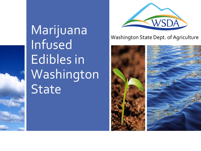Marijuana Infused Edibles in Washington **State** 



#### Washington State Dept. of Agriculture

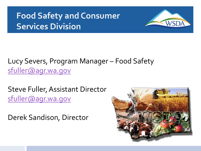## **Food Safety and Consumer Services Division**



#### Lucy Severs, Program Manager – Food Safety [sfuller@agr.wa.gov](mailto:sfuller@agr.wa.gov)

Steve Fuller, Assistant Director [sfuller@agr.wa.gov](mailto:sfuller@agr.wa.gov)

Derek Sandison, Director

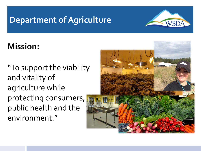#### **Department of Agriculture**



## **Mission:**

"To support the viability and vitality of agriculture while protecting consumers, public health and the environment."

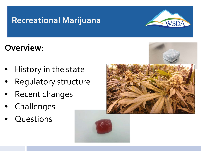

### **Overview**:

- History in the state
- Regulatory structure
- Recent changes
- **Challenges**
- **Questions**



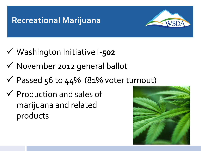

- Washington Initiative I-**502**
- $\checkmark$  November 2012 general ballot
- $\checkmark$  Passed 56 to 44% (81% voter turnout)
- $\checkmark$  Production and sales of marijuana and related products

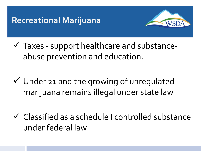

 $\checkmark$  Taxes - support healthcare and substanceabuse prevention and education.

 $\checkmark$  Under 21 and the growing of unregulated marijuana remains illegal under state law

 Classified as a schedule I controlled substance under federal law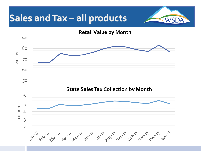## Sales and Tax - all products



**Retail Value by Month**

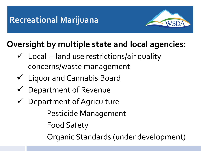

## **Oversight by multiple state and local agencies:**

- $\checkmark$  Local land use restrictions/air quality concerns/waste management
- Liquor and Cannabis Board
- $\checkmark$  Department of Revenue
- Department of Agriculture Pesticide Management Food Safety Organic Standards (under development)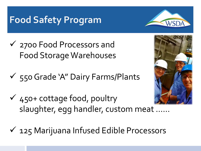## **Food Safety Program**



- 2700 Food Processors and Food Storage Warehouses
- $\checkmark$  550 Grade 'A" Dairy Farms/Plants



- $\checkmark$  450+ cottage food, poultry slaughter, egg handler, custom meat ……
- $\checkmark$  125 Marijuana Infused Edible Processors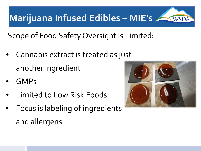**Marijuana Infused Edibles – MIE's**

Scope of Food Safety Oversight is Limited:

- Cannabis extract is treated as just another ingredient
- GMPs
- Limited to Low Risk Foods
- Focus is labeling of ingredients and allergens

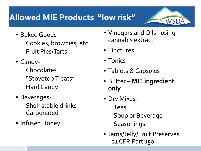## **Allowed MIE Products "low risk"**



- Baked Goods-Cookies, brownies, etc. Fruit Pies/Tarts
- Candy-Chocolates "Stovetop Treats" Hard Candy
- Beverages-Shelf stable drinks Carbonated
- Infused Honey
- Vinegars and Oils –using cannabis extract
- Tinctures
- Tonics
- Tablets & Capsules
- Butter **MIE ingredient only**
- Dry Mixes-Teas Soup or Beverage **Seasonings**
- Jams/Jelly/Fruit Preserves –21 CFR Part 150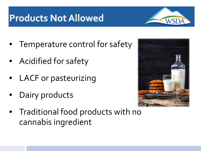## **Products Not Allowed**

- Temperature control for safety
- Acidified for safety
- LACF or pasteurizing
- Dairy products



• Traditional food products with no cannabis ingredient

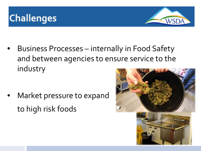



• Business Processes – internally in Food Safety and between agencies to ensure service to the industry

Market pressure to expand to high risk foods